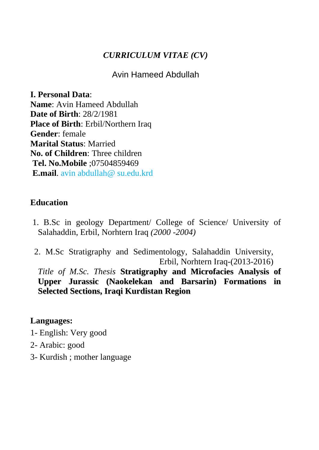#### *CURRICULUM VITAE (CV)*

Avin Hameed Abdullah

**I. Personal Data**: **Name**: Avin Hameed Abdullah **Date of Birth**: 28/2/1981 **Place of Birth**: Erbil/Northern Iraq **Gender**: female **Marital Status**: Married **No. of Children**: Three children **Tel. No.Mobile** ;07504859469 **E.mail**. avin abdullah@ su.edu.krd

#### **Education**

- 1. B.Sc in geology Department/ College of Science/ University of Salahaddin, Erbil, Norhtern Iraq *(2000 -2004)*
- 2. M.Sc Stratigraphy and Sedimentology, Salahaddin University, Erbil, Norhtern Iraq-(2013-2016)

*Title of M.Sc. Thesis* **Stratigraphy and Microfacies Analysis of Upper Jurassic (Naokelekan and Barsarin) Formations in Selected Sections, Iraqi Kurdistan Region**

#### **Languages:**

- 1- English: Very good
- 2- Arabic: good
- 3- Kurdish ; mother language